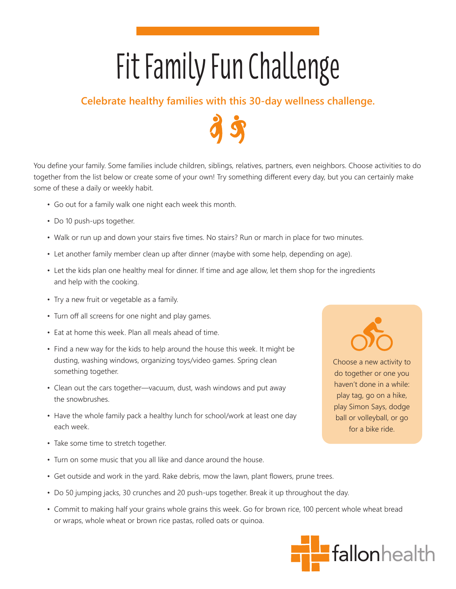## Fit Family Fun Challenge

## **Celebrate healthy families with this 30-day wellness challenge.**

You define your family. Some families include children, siblings, relatives, partners, even neighbors. Choose activities to do together from the list below or create some of your own! Try something different every day, but you can certainly make some of these a daily or weekly habit.

- Go out for a family walk one night each week this month.
- Do 10 push-ups together.
- Walk or run up and down your stairs five times. No stairs? Run or march in place for two minutes.
- Let another family member clean up after dinner (maybe with some help, depending on age).
- Let the kids plan one healthy meal for dinner. If time and age allow, let them shop for the ingredients and help with the cooking.
- Try a new fruit or vegetable as a family.
- Turn off all screens for one night and play games.
- Eat at home this week. Plan all meals ahead of time.
- Find a new way for the kids to help around the house this week. It might be dusting, washing windows, organizing toys/video games. Spring clean something together.
- Clean out the cars together—vacuum, dust, wash windows and put away the snowbrushes.
- Have the whole family pack a healthy lunch for school/work at least one day each week.
- Take some time to stretch together.
- Turn on some music that you all like and dance around the house.
- Get outside and work in the yard. Rake debris, mow the lawn, plant flowers, prune trees.
- Do 50 jumping jacks, 30 crunches and 20 push-ups together. Break it up throughout the day.
- Commit to making half your grains whole grains this week. Go for brown rice, 100 percent whole wheat bread or wraps, whole wheat or brown rice pastas, rolled oats or quinoa.





do together or one you haven't done in a while: play tag, go on a hike, play Simon Says, dodge ball or volleyball, or go for a bike ride.